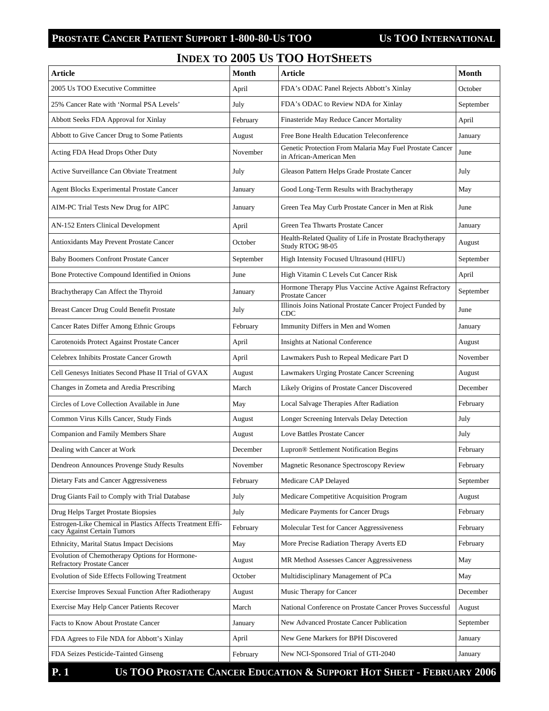## **PROSTATE CANCER PATIENT SUPPORT 1-800-80-US TOO US TOO INTERNATIONAL**

## **INDEX TO 2005 US TOO HOTSHEETS**

| <b>Article</b>                                                                            | Month     | <b>Article</b>                                                                      | <b>Month</b> |
|-------------------------------------------------------------------------------------------|-----------|-------------------------------------------------------------------------------------|--------------|
| 2005 Us TOO Executive Committee                                                           | April     | FDA's ODAC Panel Rejects Abbott's Xinlay                                            | October      |
| 25% Cancer Rate with 'Normal PSA Levels'                                                  | July      | FDA's ODAC to Review NDA for Xinlay                                                 | September    |
| Abbott Seeks FDA Approval for Xinlay                                                      | February  | Finasteride May Reduce Cancer Mortality                                             | April        |
| Abbott to Give Cancer Drug to Some Patients                                               | August    | Free Bone Health Education Teleconference                                           | January      |
| Acting FDA Head Drops Other Duty                                                          | November  | Genetic Protection From Malaria May Fuel Prostate Cancer<br>in African-American Men | June         |
| Active Surveillance Can Obviate Treatment                                                 | July      | Gleason Pattern Helps Grade Prostate Cancer                                         | July         |
| <b>Agent Blocks Experimental Prostate Cancer</b>                                          | January   | Good Long-Term Results with Brachytherapy                                           | May          |
| AIM-PC Trial Tests New Drug for AIPC                                                      | January   | Green Tea May Curb Prostate Cancer in Men at Risk                                   | June         |
| AN-152 Enters Clinical Development                                                        | April     | Green Tea Thwarts Prostate Cancer                                                   | January      |
| Antioxidants May Prevent Prostate Cancer                                                  | October   | Health-Related Quality of Life in Prostate Brachytherapy<br>Study RTOG 98-05        | August       |
| <b>Baby Boomers Confront Prostate Cancer</b>                                              | September | High Intensity Focused Ultrasound (HIFU)                                            | September    |
| Bone Protective Compound Identified in Onions                                             | June      | High Vitamin C Levels Cut Cancer Risk                                               | April        |
| Brachytherapy Can Affect the Thyroid                                                      | January   | Hormone Therapy Plus Vaccine Active Against Refractory<br><b>Prostate Cancer</b>    | September    |
| Breast Cancer Drug Could Benefit Prostate                                                 | July      | Illinois Joins National Prostate Cancer Project Funded by<br>CDC                    | June         |
| Cancer Rates Differ Among Ethnic Groups                                                   | February  | Immunity Differs in Men and Women                                                   | January      |
| Carotenoids Protect Against Prostate Cancer                                               | April     | <b>Insights at National Conference</b>                                              | August       |
| Celebrex Inhibits Prostate Cancer Growth                                                  | April     | Lawmakers Push to Repeal Medicare Part D                                            | November     |
| Cell Genesys Initiates Second Phase II Trial of GVAX                                      | August    | Lawmakers Urging Prostate Cancer Screening                                          | August       |
| Changes in Zometa and Aredia Prescribing                                                  | March     | Likely Origins of Prostate Cancer Discovered                                        | December     |
| Circles of Love Collection Available in June                                              | May       | Local Salvage Therapies After Radiation                                             | February     |
| Common Virus Kills Cancer, Study Finds                                                    | August    | Longer Screening Intervals Delay Detection                                          | July         |
| Companion and Family Members Share                                                        | August    | Love Battles Prostate Cancer                                                        | July         |
| Dealing with Cancer at Work                                                               | December  | Lupron® Settlement Notification Begins                                              | February     |
| Dendreon Announces Provenge Study Results                                                 | November  | Magnetic Resonance Spectroscopy Review                                              | February     |
| Dietary Fats and Cancer Aggressiveness                                                    | February  | Medicare CAP Delayed                                                                | September    |
| Drug Giants Fail to Comply with Trial Database                                            | July      | Medicare Competitive Acquisition Program                                            | August       |
| Drug Helps Target Prostate Biopsies                                                       | July      | Medicare Payments for Cancer Drugs                                                  | February     |
| Estrogen-Like Chemical in Plastics Affects Treatment Effi-<br>cacy Against Certain Tumors | February  | Molecular Test for Cancer Aggressiveness                                            | February     |
| Ethnicity, Marital Status Impact Decisions                                                | May       | More Precise Radiation Therapy Averts ED                                            | February     |
| Evolution of Chemotherapy Options for Hormone-<br><b>Refractory Prostate Cancer</b>       | August    | MR Method Assesses Cancer Aggressiveness                                            | May          |
| Evolution of Side Effects Following Treatment                                             | October   | Multidisciplinary Management of PCa                                                 | May          |
| Exercise Improves Sexual Function After Radiotherapy                                      | August    | Music Therapy for Cancer                                                            | December     |
| Exercise May Help Cancer Patients Recover                                                 | March     | National Conference on Prostate Cancer Proves Successful                            | August       |
| Facts to Know About Prostate Cancer                                                       | January   | New Advanced Prostate Cancer Publication                                            | September    |
| FDA Agrees to File NDA for Abbott's Xinlay                                                | April     | New Gene Markers for BPH Discovered                                                 | January      |
| FDA Seizes Pesticide-Tainted Ginseng                                                      | February  | New NCI-Sponsored Trial of GTI-2040                                                 | January      |

**P. 1 US TOO PROSTATE CANCER EDUCATION & SUPPORT HOT SHEET - FEBRUARY 2006**